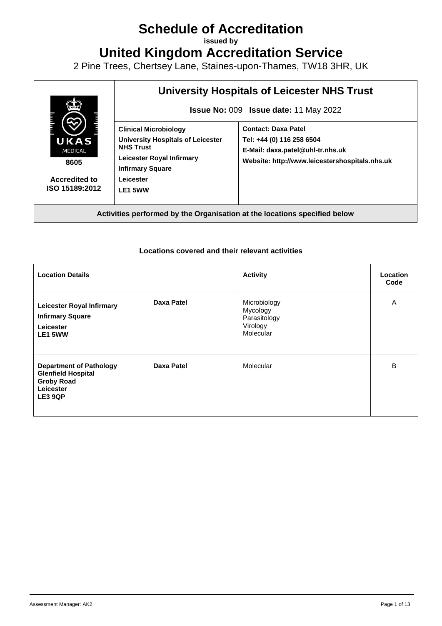## **Schedule of Accreditation**

**issued by**

**United Kingdom Accreditation Service**

2 Pine Trees, Chertsey Lane, Staines-upon-Thames, TW18 3HR, UK



**Activities performed by the Organisation at the locations specified below**

## **Locations covered and their relevant activities**

| <b>Location Details</b>                                                                                  |                   | <b>Activity</b>                                                   | Location<br>Code |
|----------------------------------------------------------------------------------------------------------|-------------------|-------------------------------------------------------------------|------------------|
| <b>Leicester Royal Infirmary</b><br><b>Infirmary Square</b><br>Leicester<br>LE1 5WW                      | <b>Daxa Patel</b> | Microbiology<br>Mycology<br>Parasitology<br>Virology<br>Molecular | A                |
| <b>Department of Pathology</b><br><b>Glenfield Hospital</b><br><b>Groby Road</b><br>Leicester<br>LE3 9QP | Daxa Patel        | Molecular                                                         | B                |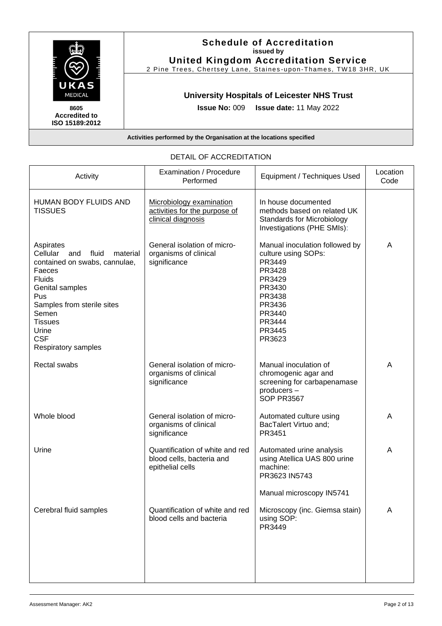

| Activity                                                                                                                                                                                                                                       | Examination / Procedure<br>Performed                                             | Equipment / Techniques Used                                                                                                                               | Location<br>Code |
|------------------------------------------------------------------------------------------------------------------------------------------------------------------------------------------------------------------------------------------------|----------------------------------------------------------------------------------|-----------------------------------------------------------------------------------------------------------------------------------------------------------|------------------|
| HUMAN BODY FLUIDS AND<br><b>TISSUES</b>                                                                                                                                                                                                        | Microbiology examination<br>activities for the purpose of<br>clinical diagnosis  | In house documented<br>methods based on related UK<br><b>Standards for Microbiology</b><br>Investigations (PHE SMIs):                                     |                  |
| Aspirates<br>Cellular<br>fluid<br>and<br>material<br>contained on swabs, cannulae,<br>Faeces<br><b>Fluids</b><br>Genital samples<br>Pus<br>Samples from sterile sites<br>Semen<br><b>Tissues</b><br>Urine<br><b>CSF</b><br>Respiratory samples | General isolation of micro-<br>organisms of clinical<br>significance             | Manual inoculation followed by<br>culture using SOPs:<br>PR3449<br>PR3428<br>PR3429<br>PR3430<br>PR3438<br>PR3436<br>PR3440<br>PR3444<br>PR3445<br>PR3623 | A                |
| Rectal swabs                                                                                                                                                                                                                                   | General isolation of micro-<br>organisms of clinical<br>significance             | Manual inoculation of<br>chromogenic agar and<br>screening for carbapenamase<br>producers-<br><b>SOP PR3567</b>                                           | A                |
| Whole blood                                                                                                                                                                                                                                    | General isolation of micro-<br>organisms of clinical<br>significance             | Automated culture using<br>BacTalert Virtuo and;<br>PR3451                                                                                                | A                |
| Urine                                                                                                                                                                                                                                          | Quantification of white and red<br>blood cells, bacteria and<br>epithelial cells | Automated urine analysis<br>using Atellica UAS 800 urine<br>machine:<br>PR3623 IN5743<br>Manual microscopy IN5741                                         | A                |
| Cerebral fluid samples                                                                                                                                                                                                                         | Quantification of white and red<br>blood cells and bacteria                      | Microscopy (inc. Giemsa stain)<br>using SOP:<br>PR3449                                                                                                    | A                |
|                                                                                                                                                                                                                                                |                                                                                  |                                                                                                                                                           |                  |

## DETAIL OF ACCREDITATION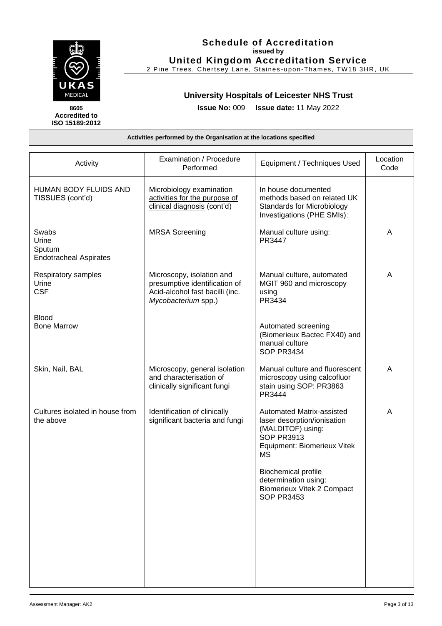|                                                | <b>Schedule of Accreditation</b><br>issued by<br><b>United Kingdom Accreditation Service</b><br>2 Pine Trees, Chertsey Lane, Staines-upon-Thames, TW18 3HR, UK |
|------------------------------------------------|----------------------------------------------------------------------------------------------------------------------------------------------------------------|
| UKAS<br><b>MEDICAL</b>                         | <b>University Hospitals of Leicester NHS Trust</b>                                                                                                             |
| 8605<br><b>Accredited to</b><br>ISO 15189:2012 | <b>Issue No: 009 Issue date: 11 May 2022</b>                                                                                                                   |
|                                                | Activities performed by the Organisation at the locations specified                                                                                            |

| Activity                                                  | Examination / Procedure<br>Performed                                                                                 | Equipment / Techniques Used                                                                                                                    | Location<br>Code |
|-----------------------------------------------------------|----------------------------------------------------------------------------------------------------------------------|------------------------------------------------------------------------------------------------------------------------------------------------|------------------|
| HUMAN BODY FLUIDS AND<br>TISSUES (cont'd)                 | Microbiology examination<br>activities for the purpose of<br>clinical diagnosis (cont'd)                             | In house documented<br>methods based on related UK<br><b>Standards for Microbiology</b><br>Investigations (PHE SMIs):                          |                  |
| Swabs<br>Urine<br>Sputum<br><b>Endotracheal Aspirates</b> | <b>MRSA Screening</b>                                                                                                | Manual culture using:<br>PR3447                                                                                                                | A                |
| Respiratory samples<br>Urine<br><b>CSF</b>                | Microscopy, isolation and<br>presumptive identification of<br>Acid-alcohol fast bacilli (inc.<br>Mycobacterium spp.) | Manual culture, automated<br>MGIT 960 and microscopy<br>using<br>PR3434                                                                        | A                |
| <b>Blood</b><br><b>Bone Marrow</b>                        |                                                                                                                      | Automated screening<br>(Biomerieux Bactec FX40) and<br>manual culture<br><b>SOP PR3434</b>                                                     |                  |
| Skin, Nail, BAL                                           | Microscopy, general isolation<br>and characterisation of<br>clinically significant fungi                             | Manual culture and fluorescent<br>microscopy using calcofluor<br>stain using SOP: PR3863<br>PR3444                                             | A                |
| Cultures isolated in house from<br>the above              | Identification of clinically<br>significant bacteria and fungi                                                       | Automated Matrix-assisted<br>laser desorption/ionisation<br>(MALDITOF) using:<br><b>SOP PR3913</b><br>Equipment: Biomerieux Vitek<br><b>MS</b> | A                |
|                                                           |                                                                                                                      | <b>Biochemical profile</b><br>determination using:<br><b>Biomerieux Vitek 2 Compact</b><br><b>SOP PR3453</b>                                   |                  |
|                                                           |                                                                                                                      |                                                                                                                                                |                  |
|                                                           |                                                                                                                      |                                                                                                                                                |                  |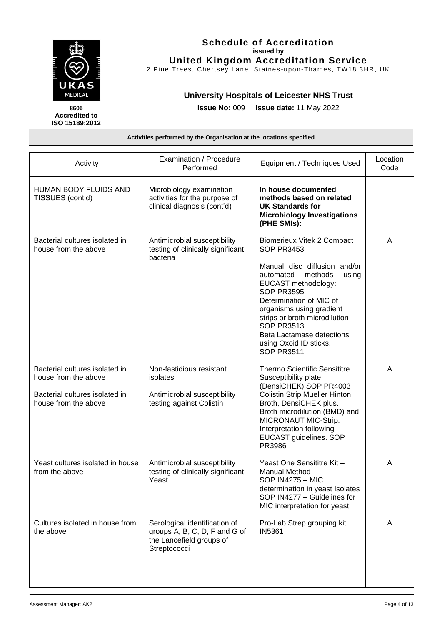|                                                | <b>Schedule of Accreditation</b><br>issued by                       |
|------------------------------------------------|---------------------------------------------------------------------|
|                                                | <b>United Kingdom Accreditation Service</b>                         |
|                                                | 2 Pine Trees, Chertsey Lane, Staines-upon-Thames, TW18 3HR, UK      |
| UKAS<br>MEDICAL                                | <b>University Hospitals of Leicester NHS Trust</b>                  |
| 8605<br><b>Accredited to</b><br>ISO 15189:2012 | Issue No: 009 Issue date: 11 May 2022                               |
|                                                | Activities performed by the Organisation at the locations specified |

| Activity                                                                                                         | Examination / Procedure<br>Performed                                                                       | Equipment / Techniques Used                                                                                                                                                                                                                                                                                                                                         | Location<br>Code |
|------------------------------------------------------------------------------------------------------------------|------------------------------------------------------------------------------------------------------------|---------------------------------------------------------------------------------------------------------------------------------------------------------------------------------------------------------------------------------------------------------------------------------------------------------------------------------------------------------------------|------------------|
| HUMAN BODY FLUIDS AND<br>TISSUES (cont'd)                                                                        | Microbiology examination<br>activities for the purpose of<br>clinical diagnosis (cont'd)                   | In house documented<br>methods based on related<br><b>UK Standards for</b><br><b>Microbiology Investigations</b><br>(PHE SMIs):                                                                                                                                                                                                                                     |                  |
| Bacterial cultures isolated in<br>house from the above                                                           | Antimicrobial susceptibility<br>testing of clinically significant<br>bacteria                              | <b>Biomerieux Vitek 2 Compact</b><br><b>SOP PR3453</b><br>Manual disc diffusion and/or<br>methods<br>automated<br>using<br>EUCAST methodology:<br><b>SOP PR3595</b><br>Determination of MIC of<br>organisms using gradient<br>strips or broth microdilution<br><b>SOP PR3513</b><br><b>Beta Lactamase detections</b><br>using Oxoid ID sticks.<br><b>SOP PR3511</b> | A                |
| Bacterial cultures isolated in<br>house from the above<br>Bacterial cultures isolated in<br>house from the above | Non-fastidious resistant<br>isolates<br>Antimicrobial susceptibility<br>testing against Colistin           | <b>Thermo Scientific Sensititre</b><br>Susceptibility plate<br>(DensiCHEK) SOP PR4003<br><b>Colistin Strip Mueller Hinton</b><br>Broth, DensiCHEK plus.<br>Broth microdilution (BMD) and<br>MICRONAUT MIC-Strip.<br>Interpretation following<br>EUCAST guidelines. SOP<br>PR3986                                                                                    | A                |
| Yeast cultures isolated in house<br>from the above                                                               | Antimicrobial susceptibility<br>testing of clinically significant<br>Yeast                                 | Yeast One Sensititre Kit -<br><b>Manual Method</b><br><b>SOP IN4275 - MIC</b><br>determination in yeast Isolates<br>SOP IN4277 - Guidelines for<br>MIC interpretation for yeast                                                                                                                                                                                     | Α                |
| Cultures isolated in house from<br>the above                                                                     | Serological identification of<br>groups A, B, C, D, F and G of<br>the Lancefield groups of<br>Streptococci | Pro-Lab Strep grouping kit<br><b>IN5361</b>                                                                                                                                                                                                                                                                                                                         | A                |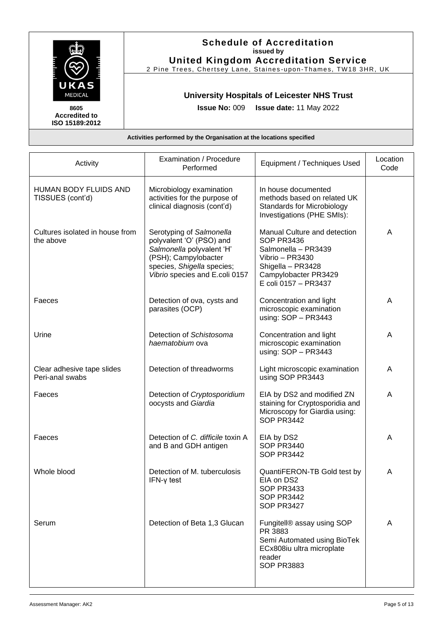

| Activity                                         | Examination / Procedure<br>Performed                                                                                                                                      | Equipment / Techniques Used                                                                                                                                      | Location<br>Code |
|--------------------------------------------------|---------------------------------------------------------------------------------------------------------------------------------------------------------------------------|------------------------------------------------------------------------------------------------------------------------------------------------------------------|------------------|
| <b>HUMAN BODY FLUIDS AND</b><br>TISSUES (cont'd) | Microbiology examination<br>activities for the purpose of<br>clinical diagnosis (cont'd)                                                                                  | In house documented<br>methods based on related UK<br><b>Standards for Microbiology</b><br>Investigations (PHE SMIs):                                            |                  |
| Cultures isolated in house from<br>the above     | Serotyping of Salmonella<br>polyvalent 'O' (PSO) and<br>Salmonella polyvalent 'H'<br>(PSH); Campylobacter<br>species, Shigella species;<br>Vibrio species and E.coli 0157 | Manual Culture and detection<br><b>SOP PR3436</b><br>Salmonella - PR3439<br>Vibrio - PR3430<br>Shigella - PR3428<br>Campylobacter PR3429<br>E coli 0157 - PR3437 | A                |
| Faeces                                           | Detection of ova, cysts and<br>parasites (OCP)                                                                                                                            | Concentration and light<br>microscopic examination<br>using: SOP - PR3443                                                                                        | A                |
| Urine                                            | Detection of Schistosoma<br>haematobium ova                                                                                                                               | Concentration and light<br>microscopic examination<br>using: SOP - PR3443                                                                                        | A                |
| Clear adhesive tape slides<br>Peri-anal swabs    | Detection of threadworms                                                                                                                                                  | Light microscopic examination<br>using SOP PR3443                                                                                                                | A                |
| Faeces                                           | Detection of Cryptosporidium<br>oocysts and Giardia                                                                                                                       | EIA by DS2 and modified ZN<br>staining for Cryptosporidia and<br>Microscopy for Giardia using:<br><b>SOP PR3442</b>                                              | A                |
| Faeces                                           | Detection of C. difficile toxin A<br>and B and GDH antigen                                                                                                                | EIA by DS2<br><b>SOP PR3440</b><br><b>SOP PR3442</b>                                                                                                             | A                |
| Whole blood                                      | Detection of M. tuberculosis<br>$IFN-\gamma$ test                                                                                                                         | QuantiFERON-TB Gold test by<br>EIA on DS2<br><b>SOP PR3433</b><br><b>SOP PR3442</b><br><b>SOP PR3427</b>                                                         | A                |
| Serum                                            | Detection of Beta 1,3 Glucan                                                                                                                                              | Fungitell® assay using SOP<br>PR 3883<br>Semi Automated using BioTek<br>ECx808iu ultra microplate<br>reader<br><b>SOP PR3883</b>                                 | A                |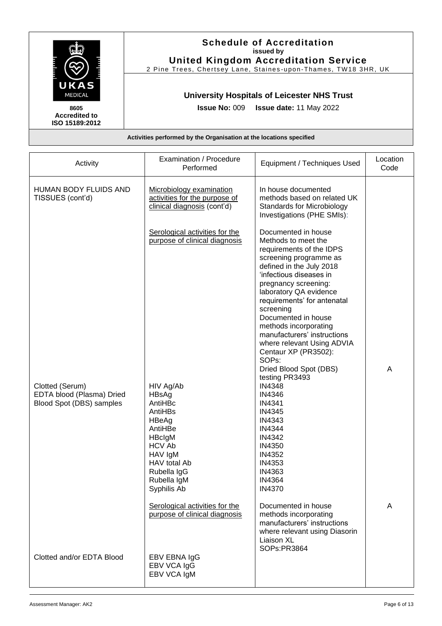|                                                                     | <b>Schedule of Accreditation</b><br>issued by                  |
|---------------------------------------------------------------------|----------------------------------------------------------------|
|                                                                     | <b>United Kingdom Accreditation Service</b>                    |
|                                                                     | 2 Pine Trees, Chertsey Lane, Staines-upon-Thames, TW18 3HR, UK |
| UKAS<br>MEDICAL                                                     | <b>University Hospitals of Leicester NHS Trust</b>             |
| 8605<br><b>Accredited to</b><br>ISO 15189:2012                      | Issue No: 009   Issue date: 11 May 2022                        |
| Activities performed by the Organisation at the locations specified |                                                                |

| Activity                                                                 | Examination / Procedure<br>Performed                                                                                                                            | Equipment / Techniques Used                                                                                                                                                                                                                                                                                                                                                                                                   | Location<br>Code |
|--------------------------------------------------------------------------|-----------------------------------------------------------------------------------------------------------------------------------------------------------------|-------------------------------------------------------------------------------------------------------------------------------------------------------------------------------------------------------------------------------------------------------------------------------------------------------------------------------------------------------------------------------------------------------------------------------|------------------|
| HUMAN BODY FLUIDS AND<br>TISSUES (cont'd)                                | Microbiology examination<br>activities for the purpose of<br>clinical diagnosis (cont'd)                                                                        | In house documented<br>methods based on related UK<br><b>Standards for Microbiology</b><br>Investigations (PHE SMIs):                                                                                                                                                                                                                                                                                                         |                  |
|                                                                          | Serological activities for the<br>purpose of clinical diagnosis                                                                                                 | Documented in house<br>Methods to meet the<br>requirements of the IDPS<br>screening programme as<br>defined in the July 2018<br>'infectious diseases in<br>pregnancy screening:<br>laboratory QA evidence<br>requirements' for antenatal<br>screening<br>Documented in house<br>methods incorporating<br>manufacturers' instructions<br>where relevant Using ADVIA<br>Centaur XP (PR3502):<br>SOPs:<br>Dried Blood Spot (DBS) | A                |
| Clotted (Serum)<br>EDTA blood (Plasma) Dried<br>Blood Spot (DBS) samples | HIV Ag/Ab<br>HBsAg<br>AntiHBc<br>AntiHBs<br>HBeAg<br>AntiHBe<br>HBclgM<br><b>HCV Ab</b><br>HAV IgM<br>HAV total Ab<br>Rubella IgG<br>Rubella IgM<br>Syphilis Ab | testing PR3493<br><b>IN4348</b><br>IN4346<br><b>IN4341</b><br><b>IN4345</b><br><b>IN4343</b><br><b>IN4344</b><br>IN4342<br>IN4350<br>IN4352<br>IN4353<br>IN4363<br><b>IN4364</b><br><b>IN4370</b>                                                                                                                                                                                                                             |                  |
| Clotted and/or EDTA Blood                                                | Serological activities for the<br>purpose of clinical diagnosis<br>EBV EBNA IgG<br>EBV VCA IgG<br>EBV VCA IgM                                                   | Documented in house<br>methods incorporating<br>manufacturers' instructions<br>where relevant using Diasorin<br>Liaison XL<br>SOPs:PR3864                                                                                                                                                                                                                                                                                     | A                |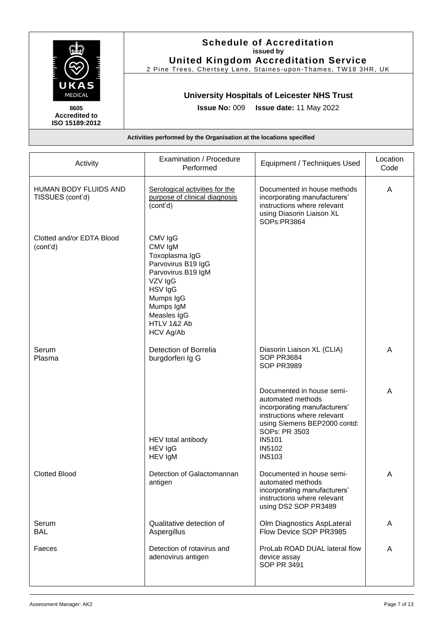|                                                | <b>Schedule of Accreditation</b><br>issued by                       |
|------------------------------------------------|---------------------------------------------------------------------|
|                                                | <b>United Kingdom Accreditation Service</b>                         |
|                                                | 2 Pine Trees, Chertsey Lane, Staines-upon-Thames, TW18 3HR, UK      |
| UKAS<br>MEDICAL                                | <b>University Hospitals of Leicester NHS Trust</b>                  |
| 8605<br><b>Accredited to</b><br>ISO 15189:2012 | <b>Issue No: 009 Issue date: 11 May 2022</b>                        |
|                                                | Activities performed by the Organisation at the locations specified |

| Activity                                         | Examination / Procedure<br>Performed                                                                                                                                               | Equipment / Techniques Used                                                                                                                                                                                       | Location<br>Code |
|--------------------------------------------------|------------------------------------------------------------------------------------------------------------------------------------------------------------------------------------|-------------------------------------------------------------------------------------------------------------------------------------------------------------------------------------------------------------------|------------------|
| <b>HUMAN BODY FLUIDS AND</b><br>TISSUES (cont'd) | Serological activities for the<br>purpose of clinical diagnosis<br>(cont'd)                                                                                                        | Documented in house methods<br>incorporating manufacturers'<br>instructions where relevant<br>using Diasorin Liaison XL<br>SOPs:PR3864                                                                            | A                |
| Clotted and/or EDTA Blood<br>(cont'd)            | CMV IgG<br>CMV IgM<br>Toxoplasma IgG<br>Parvovirus B19 IgG<br>Parvovirus B19 IgM<br>VZV IgG<br>HSV IgG<br>Mumps IgG<br>Mumps IgM<br>Measles IgG<br>HTLV 1&2 Ab<br><b>HCV Ag/Ab</b> |                                                                                                                                                                                                                   |                  |
| Serum<br>Plasma                                  | Detection of Borrelia<br>burgdorferi Ig G                                                                                                                                          | Diasorin Liaison XL (CLIA)<br><b>SOP PR3684</b><br><b>SOP PR3989</b>                                                                                                                                              | A                |
|                                                  | HEV total antibody<br>HEV IgG<br>HEV IgM                                                                                                                                           | Documented in house semi-<br>automated methods<br>incorporating manufacturers'<br>instructions where relevant<br>using Siemens BEP2000 contd:<br>SOPs: PR 3503<br><b>IN5101</b><br><b>IN5102</b><br><b>IN5103</b> | A                |
| <b>Clotted Blood</b>                             | Detection of Galactomannan<br>antigen                                                                                                                                              | Documented in house semi-<br>automated methods<br>incorporating manufacturers'<br>instructions where relevant<br>using DS2 SOP PR3489                                                                             | A                |
| Serum<br><b>BAL</b>                              | Qualitative detection of<br>Aspergillus                                                                                                                                            | Olm Diagnostics AspLateral<br>Flow Device SOP PR3985                                                                                                                                                              | A                |
| Faeces                                           | Detection of rotavirus and<br>adenovirus antigen                                                                                                                                   | ProLab ROAD DUAL lateral flow<br>device assay<br><b>SOP PR 3491</b>                                                                                                                                               | A                |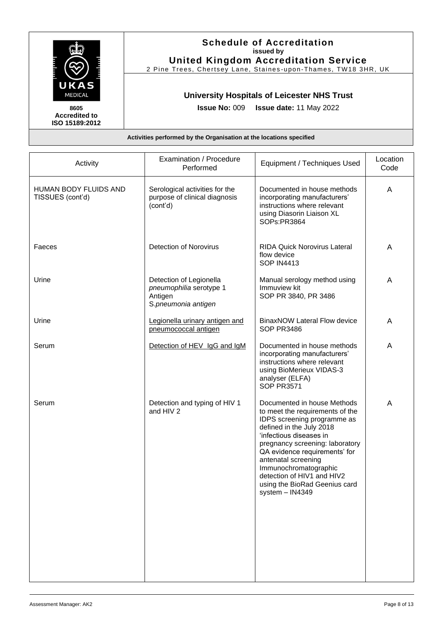|                                                                     | <b>Schedule of Accreditation</b><br>issued by                  |
|---------------------------------------------------------------------|----------------------------------------------------------------|
|                                                                     | <b>United Kingdom Accreditation Service</b>                    |
|                                                                     | 2 Pine Trees, Chertsey Lane, Staines-upon-Thames, TW18 3HR, UK |
| UKAS<br><b>MEDICAL</b>                                              | <b>University Hospitals of Leicester NHS Trust</b>             |
| 8605<br><b>Accredited to</b><br>ISO 15189:2012                      | <b>Issue No: 009 Issue date: 11 May 2022</b>                   |
| Activities performed by the Organisation at the locations specified |                                                                |

| Activity                                  | Examination / Procedure<br>Performed                                                 | Equipment / Techniques Used                                                                                                                                                                                                                                                                                                                                  | Location<br>Code |
|-------------------------------------------|--------------------------------------------------------------------------------------|--------------------------------------------------------------------------------------------------------------------------------------------------------------------------------------------------------------------------------------------------------------------------------------------------------------------------------------------------------------|------------------|
| HUMAN BODY FLUIDS AND<br>TISSUES (cont'd) | Serological activities for the<br>purpose of clinical diagnosis<br>(cont'd)          | Documented in house methods<br>incorporating manufacturers'<br>instructions where relevant<br>using Diasorin Liaison XL<br>SOPs:PR3864                                                                                                                                                                                                                       | A                |
| Faeces                                    | <b>Detection of Norovirus</b>                                                        | <b>RIDA Quick Norovirus Lateral</b><br>flow device<br><b>SOP IN4413</b>                                                                                                                                                                                                                                                                                      | A                |
| Urine                                     | Detection of Legionella<br>pneumophilia serotype 1<br>Antigen<br>S.pneumonia antigen | Manual serology method using<br>Immuview kit<br>SOP PR 3840, PR 3486                                                                                                                                                                                                                                                                                         | A                |
| Urine                                     | Legionella urinary antigen and<br>pneumococcal antigen                               | <b>BinaxNOW Lateral Flow device</b><br>SOP PR3486                                                                                                                                                                                                                                                                                                            | A                |
| Serum                                     | Detection of HEV IgG and IgM                                                         | Documented in house methods<br>incorporating manufacturers'<br>instructions where relevant<br>using BioMerieux VIDAS-3<br>analyser (ELFA)<br><b>SOP PR3571</b>                                                                                                                                                                                               | Α                |
| Serum                                     | Detection and typing of HIV 1<br>and HIV 2                                           | Documented in house Methods<br>to meet the requirements of the<br>IDPS screening programme as<br>defined in the July 2018<br>'infectious diseases in<br>pregnancy screening: laboratory<br>QA evidence requirements' for<br>antenatal screening<br>Immunochromatographic<br>detection of HIV1 and HIV2<br>using the BioRad Geenius card<br>system $-$ IN4349 | A                |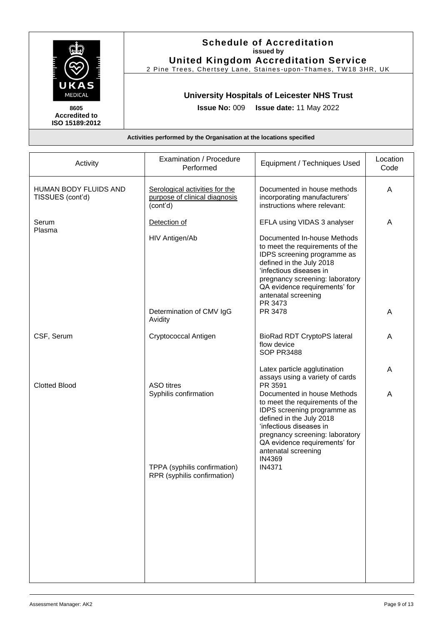|                                                                     | <b>Schedule of Accreditation</b><br>issued by                  |  |
|---------------------------------------------------------------------|----------------------------------------------------------------|--|
|                                                                     | <b>United Kingdom Accreditation Service</b>                    |  |
|                                                                     | 2 Pine Trees, Chertsey Lane, Staines-upon-Thames, TW18 3HR, UK |  |
| UKAS<br>MEDICAL                                                     | <b>University Hospitals of Leicester NHS Trust</b>             |  |
| 8605<br><b>Accredited to</b><br>ISO 15189:2012                      | <b>Issue No: 009 Issue date: 11 May 2022</b>                   |  |
| Activities performed by the Organisation at the locations specified |                                                                |  |

| Activity                                  | Examination / Procedure<br>Performed                                        | Equipment / Techniques Used                                                                                                                                                                                                                               | Location<br>Code |
|-------------------------------------------|-----------------------------------------------------------------------------|-----------------------------------------------------------------------------------------------------------------------------------------------------------------------------------------------------------------------------------------------------------|------------------|
| HUMAN BODY FLUIDS AND<br>TISSUES (cont'd) | Serological activities for the<br>purpose of clinical diagnosis<br>(cont'd) | Documented in house methods<br>incorporating manufacturers'<br>instructions where relevant:                                                                                                                                                               | A                |
| Serum<br>Plasma                           | Detection of<br>HIV Antigen/Ab                                              | EFLA using VIDAS 3 analyser<br>Documented In-house Methods                                                                                                                                                                                                | Α                |
|                                           |                                                                             | to meet the requirements of the<br>IDPS screening programme as<br>defined in the July 2018<br>'infectious diseases in<br>pregnancy screening: laboratory<br>QA evidence requirements' for<br>antenatal screening<br>PR 3473                               |                  |
|                                           | Determination of CMV IgG<br>Avidity                                         | PR 3478                                                                                                                                                                                                                                                   | Α                |
| CSF, Serum                                | Cryptococcal Antigen                                                        | <b>BioRad RDT CryptoPS lateral</b><br>flow device<br>SOP PR3488                                                                                                                                                                                           | Α                |
| <b>Clotted Blood</b>                      | <b>ASO</b> titres                                                           | Latex particle agglutination<br>assays using a variety of cards<br>PR 3591                                                                                                                                                                                | Α                |
|                                           | Syphilis confirmation                                                       | Documented in house Methods<br>to meet the requirements of the<br>IDPS screening programme as<br>defined in the July 2018<br>'infectious diseases in<br>pregnancy screening: laboratory<br>QA evidence requirements' for<br>antenatal screening<br>IN4369 | A                |
|                                           | TPPA (syphilis confirmation)<br>RPR (syphilis confirmation)                 | <b>IN4371</b>                                                                                                                                                                                                                                             |                  |
|                                           |                                                                             |                                                                                                                                                                                                                                                           |                  |
|                                           |                                                                             |                                                                                                                                                                                                                                                           |                  |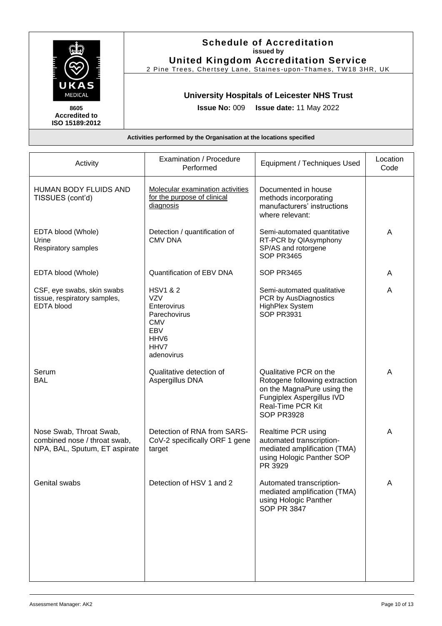

| A |
|---|
|   |
|   |
| A |
| A |
| A |
| A |
| А |
|   |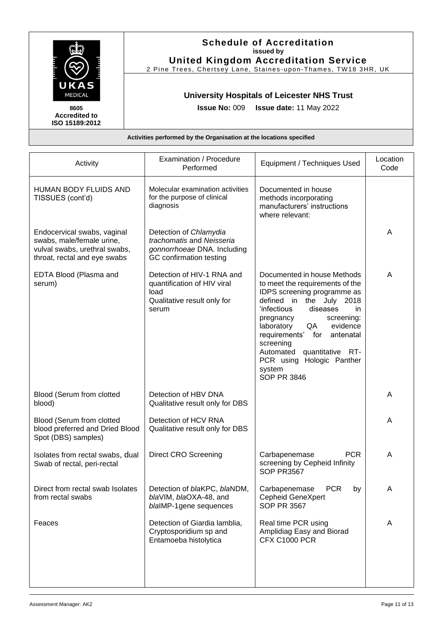|                                                                     | <b>Schedule of Accreditation</b><br>issued by<br><b>United Kingdom Accreditation Service</b> |  |
|---------------------------------------------------------------------|----------------------------------------------------------------------------------------------|--|
| UKAS                                                                | 2 Pine Trees, Chertsey Lane, Staines-upon-Thames, TW18 3HR, UK                               |  |
| <b>MEDICAL</b>                                                      | <b>University Hospitals of Leicester NHS Trust</b>                                           |  |
| 8605<br><b>Accredited to</b><br>ISO 15189:2012                      | <b>Issue No: 009 Issue date: 11 May 2022</b>                                                 |  |
| Activities performed by the Organisation at the locations specified |                                                                                              |  |

| Activity                                                                                                                  | Examination / Procedure<br>Performed                                                                          | Equipment / Techniques Used                                                                                                                                                                                                                                                                                                                                            | Location<br>Code |
|---------------------------------------------------------------------------------------------------------------------------|---------------------------------------------------------------------------------------------------------------|------------------------------------------------------------------------------------------------------------------------------------------------------------------------------------------------------------------------------------------------------------------------------------------------------------------------------------------------------------------------|------------------|
| <b>HUMAN BODY FLUIDS AND</b><br>TISSUES (cont'd)                                                                          | Molecular examination activities<br>for the purpose of clinical<br>diagnosis                                  | Documented in house<br>methods incorporating<br>manufacturers' instructions<br>where relevant:                                                                                                                                                                                                                                                                         |                  |
| Endocervical swabs, vaginal<br>swabs, male/female urine,<br>vulval swabs, urethral swabs,<br>throat, rectal and eye swabs | Detection of Chlamydia<br>trachomatis and Neisseria<br>gonnorrhoeae DNA. Including<br>GC confirmation testing |                                                                                                                                                                                                                                                                                                                                                                        | A                |
| EDTA Blood (Plasma and<br>serum)                                                                                          | Detection of HIV-1 RNA and<br>quantification of HIV viral<br>load<br>Qualitative result only for<br>serum     | Documented in house Methods<br>to meet the requirements of the<br>IDPS screening programme as<br>defined in the July 2018<br>'infectious<br>diseases<br>in.<br>screening:<br>pregnancy<br>evidence<br>laboratory<br>QA<br>antenatal<br>requirements'<br>for<br>screening<br>Automated<br>quantitative RT-<br>PCR using Hologic Panther<br>system<br><b>SOP PR 3846</b> | A                |
| Blood (Serum from clotted<br>blood)                                                                                       | Detection of HBV DNA<br>Qualitative result only for DBS                                                       |                                                                                                                                                                                                                                                                                                                                                                        | A                |
| Blood (Serum from clotted<br>blood preferred and Dried Blood<br>Spot (DBS) samples)                                       | Detection of HCV RNA<br>Qualitative result only for DBS                                                       |                                                                                                                                                                                                                                                                                                                                                                        | A                |
| Isolates from rectal swabs, dual<br>Swab of rectal, peri-rectal                                                           | <b>Direct CRO Screening</b>                                                                                   | <b>PCR</b><br>Carbapenemase<br>screening by Cepheid Infinity<br><b>SOP PR3567</b>                                                                                                                                                                                                                                                                                      | A                |
| Direct from rectal swab Isolates<br>from rectal swabs                                                                     | Detection of blaKPC, blaNDM,<br>blaVIM, blaOXA-48, and<br>blaIMP-1 gene sequences                             | <b>PCR</b><br>Carbapenemase<br>by<br><b>Cepheid GeneXpert</b><br><b>SOP PR 3567</b>                                                                                                                                                                                                                                                                                    | A                |
| Feaces                                                                                                                    | Detection of Giardia lamblia,<br>Cryptosporidium sp and<br>Entamoeba histolytica                              | Real time PCR using<br>Amplidiag Easy and Biorad<br><b>CFX C1000 PCR</b>                                                                                                                                                                                                                                                                                               | A                |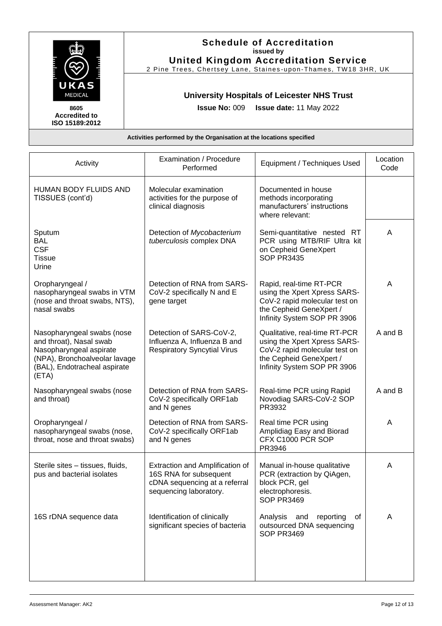|                                                | <b>Schedule of Accreditation</b><br>issued by                       |
|------------------------------------------------|---------------------------------------------------------------------|
|                                                | <b>United Kingdom Accreditation Service</b>                         |
|                                                | 2 Pine Trees, Chertsey Lane, Staines-upon-Thames, TW18 3HR, UK      |
| UKAS<br>MEDICAL                                | <b>University Hospitals of Leicester NHS Trust</b>                  |
| 8605<br><b>Accredited to</b><br>ISO 15189:2012 | <b>Issue No: 009 Issue date: 11 May 2022</b>                        |
|                                                | Activities performed by the Organisation at the locations specified |

| Activity                                                                                                                                                   | Examination / Procedure<br>Performed                                                                                 | Equipment / Techniques Used                                                                                                                              | Location<br>Code |
|------------------------------------------------------------------------------------------------------------------------------------------------------------|----------------------------------------------------------------------------------------------------------------------|----------------------------------------------------------------------------------------------------------------------------------------------------------|------------------|
| HUMAN BODY FLUIDS AND<br>TISSUES (cont'd)                                                                                                                  | Molecular examination<br>activities for the purpose of<br>clinical diagnosis                                         | Documented in house<br>methods incorporating<br>manufacturers' instructions<br>where relevant:                                                           |                  |
| Sputum<br><b>BAL</b><br><b>CSF</b><br><b>Tissue</b><br>Urine                                                                                               | Detection of Mycobacterium<br>tuberculosis complex DNA                                                               | Semi-quantitative nested RT<br>PCR using MTB/RIF Ultra kit<br>on Cepheid GeneXpert<br><b>SOP PR3435</b>                                                  | A                |
| Oropharyngeal /<br>nasopharyngeal swabs in VTM<br>(nose and throat swabs, NTS),<br>nasal swabs                                                             | Detection of RNA from SARS-<br>CoV-2 specifically N and E<br>gene target                                             | Rapid, real-time RT-PCR<br>using the Xpert Xpress SARS-<br>CoV-2 rapid molecular test on<br>the Cepheid GeneXpert /<br>Infinity System SOP PR 3906       | A                |
| Nasopharyngeal swabs (nose<br>and throat), Nasal swab<br>Nasopharyngeal aspirate<br>(NPA), Bronchoalveolar lavage<br>(BAL), Endotracheal aspirate<br>(ETA) | Detection of SARS-CoV-2,<br>Influenza A, Influenza B and<br><b>Respiratory Syncytial Virus</b>                       | Qualitative, real-time RT-PCR<br>using the Xpert Xpress SARS-<br>CoV-2 rapid molecular test on<br>the Cepheid GeneXpert /<br>Infinity System SOP PR 3906 | A and B          |
| Nasopharyngeal swabs (nose<br>and throat)                                                                                                                  | Detection of RNA from SARS-<br>CoV-2 specifically ORF1ab<br>and N genes                                              | Real-time PCR using Rapid<br>Novodiag SARS-CoV-2 SOP<br>PR3932                                                                                           | A and B          |
| Oropharyngeal /<br>nasopharyngeal swabs (nose,<br>throat, nose and throat swabs)                                                                           | Detection of RNA from SARS-<br>CoV-2 specifically ORF1ab<br>and N genes                                              | Real time PCR using<br>Amplidiag Easy and Biorad<br>CFX C1000 PCR SOP<br>PR3946                                                                          | A                |
| Sterile sites - tissues, fluids,<br>pus and bacterial isolates                                                                                             | Extraction and Amplification of<br>16S RNA for subsequent<br>cDNA sequencing at a referral<br>sequencing laboratory. | Manual in-house qualitative<br>PCR (extraction by QiAgen,<br>block PCR, gel<br>electrophoresis.<br><b>SOP PR3469</b>                                     | A                |
| 16S rDNA sequence data                                                                                                                                     | Identification of clinically<br>significant species of bacteria                                                      | Analysis<br>and<br>reporting<br>οf<br>outsourced DNA sequencing<br><b>SOP PR3469</b>                                                                     | A                |
|                                                                                                                                                            |                                                                                                                      |                                                                                                                                                          |                  |